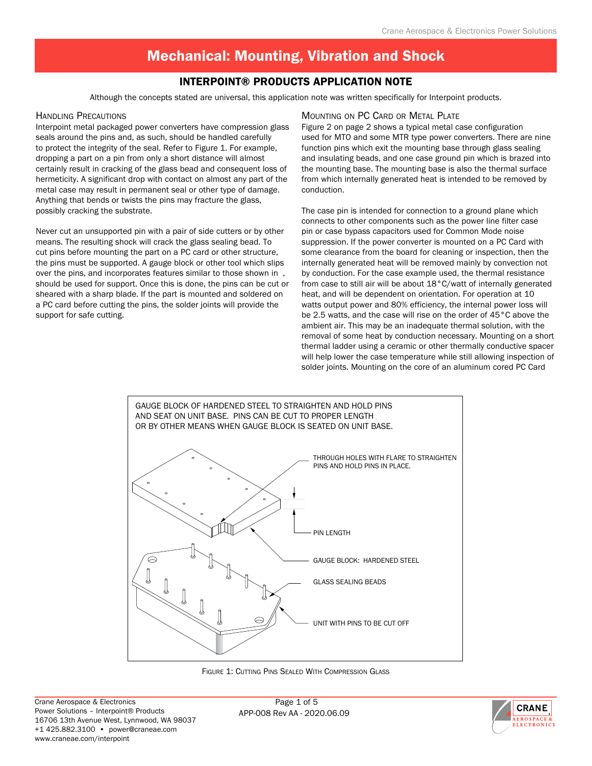## Interpoint® Products Application Note

Although the concepts stated are universal, this application note was written specifically for Interpoint products.

#### Handling Precautions

Interpoint metal packaged power converters have compression glass seals around the pins and, as such, should be handled carefully to protect the integrity of the seal. Refer to Figure 1. For example, dropping a part on a pin from only a short distance will almost certainly result in cracking of the glass bead and consequent loss of hermeticity. A significant drop with contact on almost any part of the metal case may result in permanent seal or other type of damage. Anything that bends or twists the pins may fracture the glass, possibly cracking the substrate.

Never cut an unsupported pin with a pair of side cutters or by other means. The resulting shock will crack the glass sealing bead. To cut pins before mounting the part on a PC card or other structure, the pins must be supported. A gauge block or other tool which slips over the pins, and incorporates features similar to those shown in , should be used for support. Once this is done, the pins can be cut or sheared with a sharp blade. If the part is mounted and soldered on a PC card before cutting the pins, the solder joints will provide the support for safe cutting.

#### Mounting on PC Card or Metal Plate

Figure 2 on page 2 shows a typical metal case configuration used for MTO and some MTR type power converters. There are nine function pins which exit the mounting base through glass sealing and insulating beads, and one case ground pin which is brazed into the mounting base. The mounting base is also the thermal surface from which internally generated heat is intended to be removed by conduction.

The case pin is intended for connection to a ground plane which connects to other components such as the power line filter case pin or case bypass capacitors used for Common Mode noise suppression. If the power converter is mounted on a PC Card with some clearance from the board for cleaning or inspection, then the internally generated heat will be removed mainly by convection not by conduction. For the case example used, the thermal resistance from case to still air will be about 18°C/watt of internally generated heat, and will be dependent on orientation. For operation at 10 watts output power and 80% efficiency, the internal power loss will be 2.5 watts, and the case will rise on the order of 45°C above the ambient air. This may be an inadequate thermal solution, with the removal of some heat by conduction necessary. Mounting on a short thermal ladder using a ceramic or other thermally conductive spacer will help lower the case temperature while still allowing inspection of solder joints. Mounting on the core of an aluminum cored PC Card



Figure 1: Cutting Pins Sealed With Compression Glass

APP-008 Rev AA - 2020.06.09 Page 1 of 5

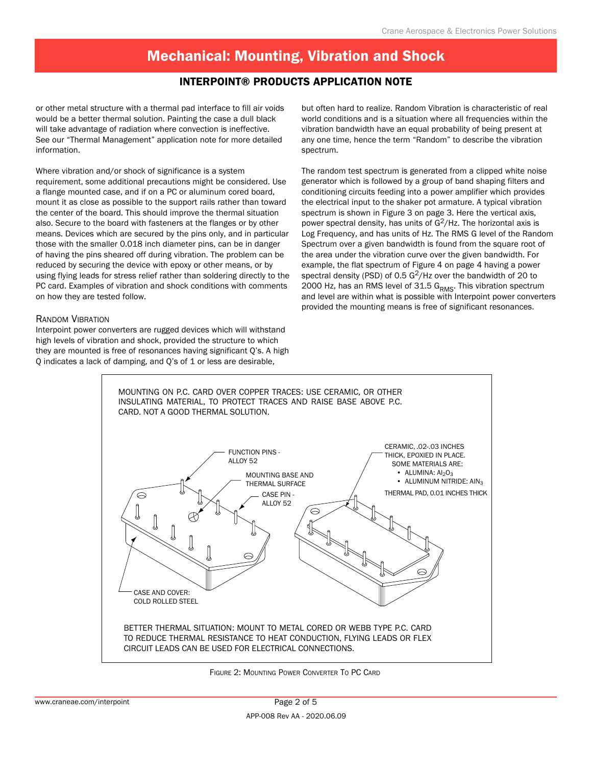### Interpoint® Products Application Note

or other metal structure with a thermal pad interface to fill air voids would be a better thermal solution. Painting the case a dull black will take advantage of radiation where convection is ineffective. See our "Thermal Management" application note for more detailed information.

Where vibration and/or shock of significance is a system requirement, some additional precautions might be considered. Use a flange mounted case, and if on a PC or aluminum cored board, mount it as close as possible to the support rails rather than toward the center of the board. This should improve the thermal situation also. Secure to the board with fasteners at the flanges or by other means. Devices which are secured by the pins only, and in particular those with the smaller 0.018 inch diameter pins, can be in danger of having the pins sheared off during vibration. The problem can be reduced by securing the device with epoxy or other means, or by using flying leads for stress relief rather than soldering directly to the PC card. Examples of vibration and shock conditions with comments on how they are tested follow.

#### Random Vibration

Interpoint power converters are rugged devices which will withstand high levels of vibration and shock, provided the structure to which they are mounted is free of resonances having significant Q's. A high Q indicates a lack of damping, and Q's of 1 or less are desirable,

but often hard to realize. Random Vibration is characteristic of real world conditions and is a situation where all frequencies within the vibration bandwidth have an equal probability of being present at any one time, hence the term "Random" to describe the vibration spectrum.

The random test spectrum is generated from a clipped white noise generator which is followed by a group of band shaping filters and conditioning circuits feeding into a power amplifier which provides the electrical input to the shaker pot armature. A typical vibration spectrum is shown in Figure 3 on page 3. Here the vertical axis, power spectral density, has units of  $G^2/Hz$ . The horizontal axis is Log Frequency, and has units of Hz. The RMS G level of the Random Spectrum over a given bandwidth is found from the square root of the area under the vibration curve over the given bandwidth. For example, the flat spectrum of Figure 4 on page 4 having a power spectral density (PSD) of 0.5  $G^2/Hz$  over the bandwidth of 20 to 2000 Hz, has an RMS level of 31.5  $G<sub>RMS</sub>$ . This vibration spectrum and level are within what is possible with Interpoint power converters provided the mounting means is free of significant resonances.



Figure 2: Mounting Power Converter To PC Card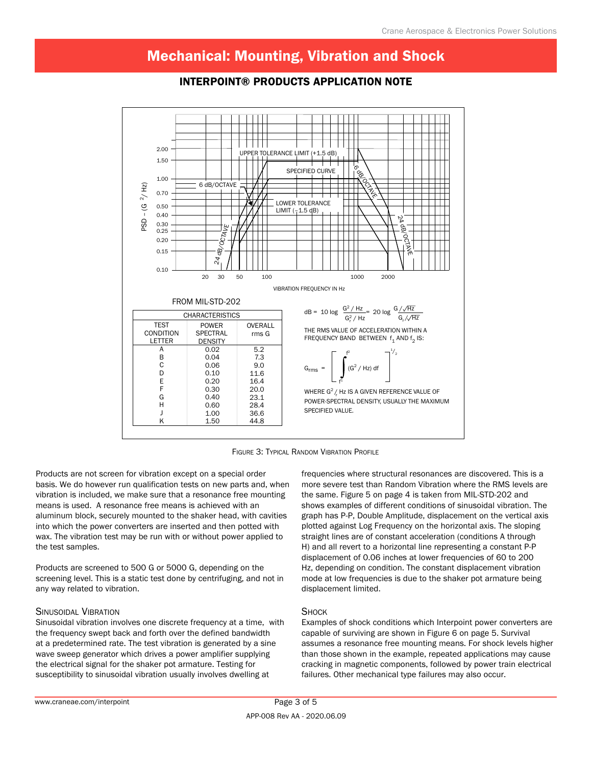

### Interpoint® Products Application Note

Figure 3: Typical Random Vibration Profile

Products are not screen for vibration except on a special order basis. We do however run qualification tests on new parts and, when vibration is included, we make sure that a resonance free mounting means is used. A resonance free means is achieved with an aluminum block, securely mounted to the shaker head, with cavities into which the power converters are inserted and then potted with wax. The vibration test may be run with or without power applied to the test samples.

Products are screened to 500 G or 5000 G, depending on the screening level. This is a static test done by centrifuging, and not in any way related to vibration.

#### Sinusoidal Vibration

Sinusoidal vibration involves one discrete frequency at a time, with the frequency swept back and forth over the defined bandwidth at a predetermined rate. The test vibration is generated by a sine wave sweep generator which drives a power amplifier supplying the electrical signal for the shaker pot armature. Testing for susceptibility to sinusoidal vibration usually involves dwelling at

frequencies where structural resonances are discovered. This is a more severe test than Random Vibration where the RMS levels are the same. Figure 5 on page 4 is taken from MIL-STD-202 and shows examples of different conditions of sinusoidal vibration. The graph has P-P, Double Amplitude, displacement on the vertical axis plotted against Log Frequency on the horizontal axis. The sloping straight lines are of constant acceleration (conditions A through H) and all revert to a horizontal line representing a constant P-P displacement of 0.06 inches at lower frequencies of 60 to 200 Hz, depending on condition. The constant displacement vibration mode at low frequencies is due to the shaker pot armature being displacement limited.

#### **SHOCK**

Examples of shock conditions which Interpoint power converters are capable of surviving are shown in Figure 6 on page 5. Survival assumes a resonance free mounting means. For shock levels higher than those shown in the example, repeated applications may cause cracking in magnetic components, followed by power train electrical failures. Other mechanical type failures may also occur.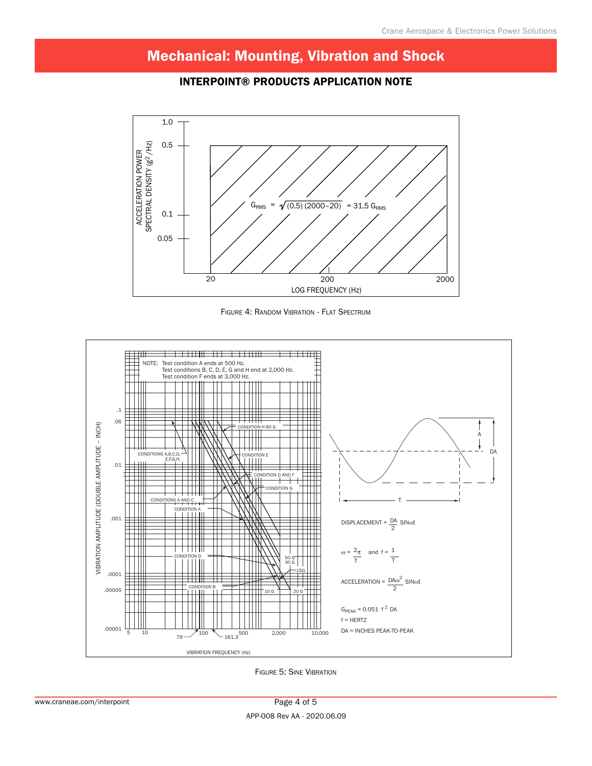### Interpoint® Products Application Note



Figure 4: Random Vibration - Flat Spectrum



Figure 5: Sine Vibration